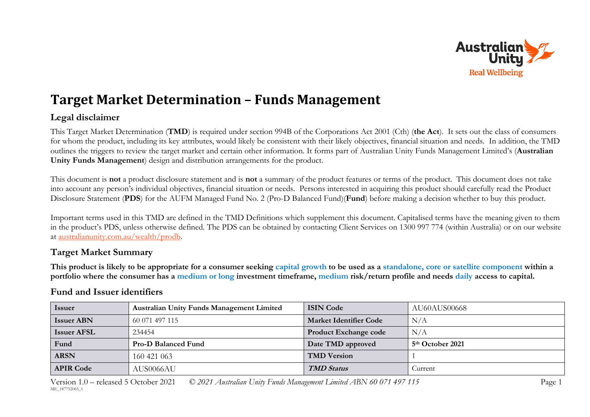

## **Target Market Determination – Funds Management**

## **Legal disclaimer**

This Target Market Determination (**TMD**) is required under section 994B of the Corporations Act 2001 (Cth) (**the Act**). It sets out the class of consumers for whom the product, including its key attributes, would likely be consistent with their likely objectives, financial situation and needs. In addition, the TMD outlines the triggers to review the target market and certain other information. It forms part of Australian Unity Funds Management Limited's (**Australian Unity Funds Management**) design and distribution arrangements for the product.

This document is **not** a product disclosure statement and is **not** a summary of the product features or terms of the product. This document does not take into account any person's individual objectives, financial situation or needs. Persons interested in acquiring this product should carefully read the Product Disclosure Statement (**PDS**) for the AUFM Managed Fund No. 2 (Pro-D Balanced Fund)(**Fund**) before making a decision whether to buy this product.

Important terms used in this TMD are defined in the TMD Definitions which supplement this document. Capitalised terms have the meaning given to them in the product's PDS, unless otherwise defined. The PDS can be obtained by contacting Client Services on 1300 997 774 (within Australia) or on our website at [australianunity.com.au/wealth/prodb.](https://www.australianunity.com.au/wealth/~/media/publicsite/documents/funds/australianunity/prod-bal/pds.ashx)

## **Target Market Summary**

**This product is likely to be appropriate for a consumer seeking capital growth to be used as a standalone, core or satellite component within a portfolio where the consumer has a medium or long investment timeframe, medium risk/return profile and needs daily access to capital.**

## **Fund and Issuer identifiers**

| <i>Issuer</i>      | <b>Australian Unity Funds Management Limited</b> | <b>ISIN Code</b>              | AU60AUS00668                 |
|--------------------|--------------------------------------------------|-------------------------------|------------------------------|
| <b>Issuer ABN</b>  | 60 071 497 115                                   | <b>Market Identifier Code</b> | N/A                          |
| <b>Issuer AFSL</b> | 234454                                           | <b>Product Exchange code</b>  | N/A                          |
| Fund               | <b>Pro-D Balanced Fund</b>                       | Date TMD approved             | 5 <sup>th</sup> October 2021 |
| <b>ARSN</b>        | 160 421 063                                      | <b>TMD Version</b>            |                              |
| <b>APIR Code</b>   | AUS0066AU                                        | <b>TMD Status</b>             | Current                      |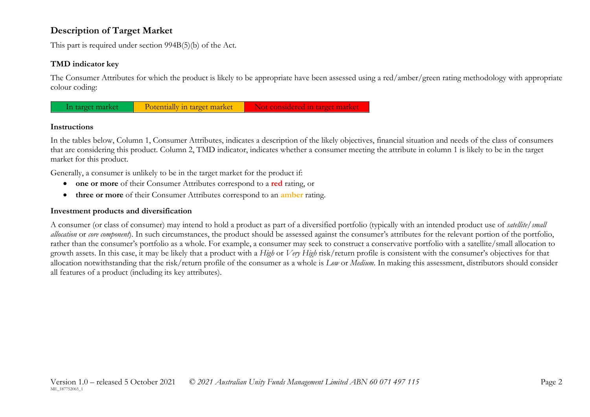## **Description of Target Market**

This part is required under section 994B(5)(b) of the Act.

#### **TMD indicator key**

The Consumer Attributes for which the product is likely to be appropriate have been assessed using a red/amber/green rating methodology with appropriate colour coding:



#### **Instructions**

In the tables below, Column 1, Consumer Attributes, indicates a description of the likely objectives, financial situation and needs of the class of consumers that are considering this product. Column 2, TMD indicator, indicates whether a consumer meeting the attribute in column 1 is likely to be in the target market for this product.

Generally, a consumer is unlikely to be in the target market for the product if:

- **one or more** of their Consumer Attributes correspond to a **red** rating, or
- **three or more** of their Consumer Attributes correspond to an **amber** rating.

#### **Investment products and diversification**

A consumer (or class of consumer) may intend to hold a product as part of a diversified portfolio (typically with an intended product use of *satellite/small allocation* or *core component*). In such circumstances, the product should be assessed against the consumer's attributes for the relevant portion of the portfolio, rather than the consumer's portfolio as a whole. For example, a consumer may seek to construct a conservative portfolio with a satellite/small allocation to growth assets. In this case, it may be likely that a product with a *High* or *Very High* risk/return profile is consistent with the consumer's objectives for that allocation notwithstanding that the risk/return profile of the consumer as a whole is *Low* or *Medium*. In making this assessment, distributors should consider all features of a product (including its key attributes).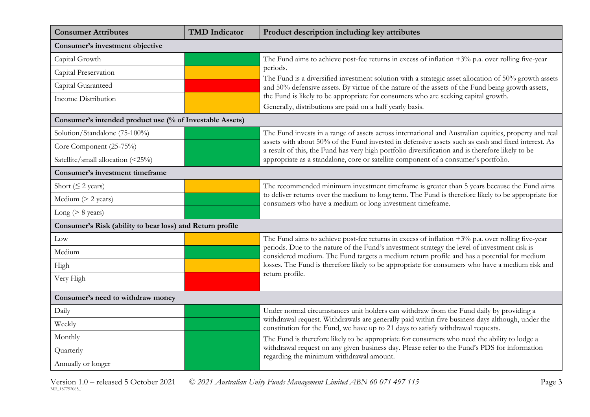| <b>Consumer Attributes</b>                                | <b>TMD</b> Indicator | Product description including key attributes                                                                                                                                                                |
|-----------------------------------------------------------|----------------------|-------------------------------------------------------------------------------------------------------------------------------------------------------------------------------------------------------------|
| Consumer's investment objective                           |                      |                                                                                                                                                                                                             |
| Capital Growth                                            |                      | The Fund aims to achieve post-fee returns in excess of inflation $+3\%$ p.a. over rolling five-year                                                                                                         |
| Capital Preservation                                      |                      | periods.<br>The Fund is a diversified investment solution with a strategic asset allocation of 50% growth assets                                                                                            |
| Capital Guaranteed                                        |                      | and 50% defensive assets. By virtue of the nature of the assets of the Fund being growth assets,                                                                                                            |
| Income Distribution                                       |                      | the Fund is likely to be appropriate for consumers who are seeking capital growth.                                                                                                                          |
| Consumer's intended product use (% of Investable Assets)  |                      | Generally, distributions are paid on a half yearly basis.                                                                                                                                                   |
|                                                           |                      |                                                                                                                                                                                                             |
| Solution/Standalone (75-100%)                             |                      | The Fund invests in a range of assets across international and Australian equities, property and real<br>assets with about 50% of the Fund invested in defensive assets such as cash and fixed interest. As |
| Core Component (25-75%)                                   |                      | a result of this, the Fund has very high portfolio diversification and is therefore likely to be                                                                                                            |
| Satellite/small allocation (<25%)                         |                      | appropriate as a standalone, core or satellite component of a consumer's portfolio.                                                                                                                         |
| Consumer's investment timeframe                           |                      |                                                                                                                                                                                                             |
| Short ( $\leq$ 2 years)                                   |                      | The recommended minimum investment timeframe is greater than 5 years because the Fund aims                                                                                                                  |
| Medium $(> 2$ years)                                      |                      | to deliver returns over the medium to long term. The Fund is therefore likely to be appropriate for<br>consumers who have a medium or long investment timeframe.                                            |
| Long ( $> 8$ years)                                       |                      |                                                                                                                                                                                                             |
| Consumer's Risk (ability to bear loss) and Return profile |                      |                                                                                                                                                                                                             |
| Low                                                       |                      | The Fund aims to achieve post-fee returns in excess of inflation $+3\%$ p.a. over rolling five-year                                                                                                         |
| Medium                                                    |                      | periods. Due to the nature of the Fund's investment strategy the level of investment risk is<br>considered medium. The Fund targets a medium return profile and has a potential for medium                  |
| High                                                      |                      | losses. The Fund is therefore likely to be appropriate for consumers who have a medium risk and                                                                                                             |
| Very High                                                 |                      | return profile.                                                                                                                                                                                             |
| Consumer's need to withdraw money                         |                      |                                                                                                                                                                                                             |
| Daily                                                     |                      | Under normal circumstances unit holders can withdraw from the Fund daily by providing a                                                                                                                     |
| Weekly                                                    |                      | withdrawal request. Withdrawals are generally paid within five business days although, under the<br>constitution for the Fund, we have up to 21 days to satisfy withdrawal requests.                        |
| Monthly                                                   |                      | The Fund is therefore likely to be appropriate for consumers who need the ability to lodge a                                                                                                                |
| Quarterly                                                 |                      | withdrawal request on any given business day. Please refer to the Fund's PDS for information<br>regarding the minimum withdrawal amount.                                                                    |
| Annually or longer                                        |                      |                                                                                                                                                                                                             |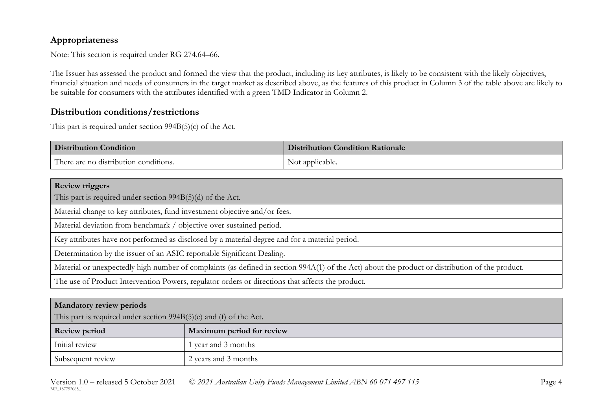## **Appropriateness**

Note: This section is required under RG 274.64–66.

The Issuer has assessed the product and formed the view that the product, including its key attributes, is likely to be consistent with the likely objectives, financial situation and needs of consumers in the target market as described above, as the features of this product in Column 3 of the table above are likely to be suitable for consumers with the attributes identified with a green TMD Indicator in Column 2.

### **Distribution conditions/restrictions**

This part is required under section 994B(5)(c) of the Act.

| <b>Distribution Condition</b>         | <b>Distribution Condition Rationale</b> |
|---------------------------------------|-----------------------------------------|
| There are no distribution conditions. | Not applicable.                         |

| <b>Review triggers</b>                                                                                                                          |
|-------------------------------------------------------------------------------------------------------------------------------------------------|
| This part is required under section 994B(5)(d) of the Act.                                                                                      |
| Material change to key attributes, fund investment objective and/or fees.                                                                       |
| Material deviation from benchmark / objective over sustained period.                                                                            |
| Key attributes have not performed as disclosed by a material degree and for a material period.                                                  |
| Determination by the issuer of an ASIC reportable Significant Dealing.                                                                          |
| Material or unexpectedly high number of complaints (as defined in section 994A(1) of the Act) about the product or distribution of the product. |
| The use of Product Intervention Powers, regulator orders or directions that affects the product.                                                |

| <b>Mandatory review periods</b>                                    |                           |  |
|--------------------------------------------------------------------|---------------------------|--|
| This part is required under section 994B(5)(e) and (f) of the Act. |                           |  |
| <b>Review period</b>                                               | Maximum period for review |  |
| Initial review                                                     | 1 year and 3 months       |  |
| Subsequent review                                                  | 2 years and 3 months      |  |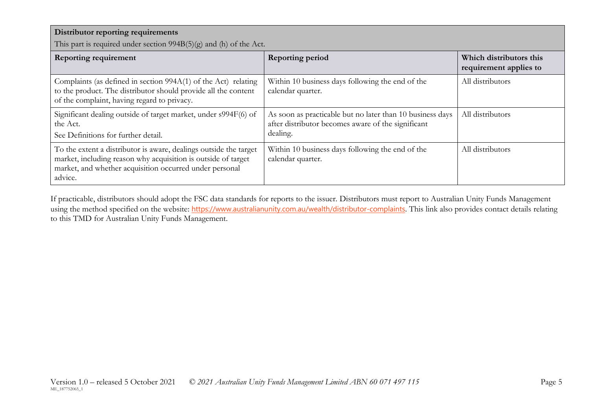| Distributor reporting requirements<br>This part is required under section $994B(5)(g)$ and (h) of the Act.                                                                                               |                                                                                                                             |                                                   |  |
|----------------------------------------------------------------------------------------------------------------------------------------------------------------------------------------------------------|-----------------------------------------------------------------------------------------------------------------------------|---------------------------------------------------|--|
| <b>Reporting requirement</b>                                                                                                                                                                             | <b>Reporting period</b>                                                                                                     | Which distributors this<br>requirement applies to |  |
| Complaints (as defined in section 994A(1) of the Act) relating<br>to the product. The distributor should provide all the content<br>of the complaint, having regard to privacy.                          | Within 10 business days following the end of the<br>calendar quarter.                                                       | All distributors                                  |  |
| Significant dealing outside of target market, under s994F(6) of<br>the Act.<br>See Definitions for further detail.                                                                                       | As soon as practicable but no later than 10 business days<br>after distributor becomes aware of the significant<br>dealing. | All distributors                                  |  |
| To the extent a distributor is aware, dealings outside the target<br>market, including reason why acquisition is outside of target<br>market, and whether acquisition occurred under personal<br>advice. | Within 10 business days following the end of the<br>calendar quarter.                                                       | All distributors                                  |  |

If practicable, distributors should adopt the FSC data standards for reports to the issuer. Distributors must report to Australian Unity Funds Management using the method specified on the website: <https://www.australianunity.com.au/wealth/distributor-complaints>. This link also provides contact details relating to this TMD for Australian Unity Funds Management.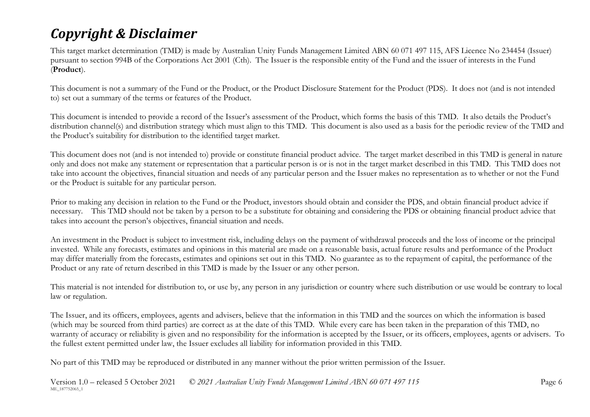# *Copyright & Disclaimer*

This target market determination (TMD) is made by Australian Unity Funds Management Limited ABN 60 071 497 115, AFS Licence No 234454 (Issuer) pursuant to section 994B of the Corporations Act 2001 (Cth). The Issuer is the responsible entity of the Fund and the issuer of interests in the Fund (**Product**).

This document is not a summary of the Fund or the Product, or the Product Disclosure Statement for the Product (PDS). It does not (and is not intended to) set out a summary of the terms or features of the Product.

This document is intended to provide a record of the Issuer's assessment of the Product, which forms the basis of this TMD. It also details the Product's distribution channel(s) and distribution strategy which must align to this TMD. This document is also used as a basis for the periodic review of the TMD and the Product's suitability for distribution to the identified target market.

This document does not (and is not intended to) provide or constitute financial product advice. The target market described in this TMD is general in nature only and does not make any statement or representation that a particular person is or is not in the target market described in this TMD. This TMD does not take into account the objectives, financial situation and needs of any particular person and the Issuer makes no representation as to whether or not the Fund or the Product is suitable for any particular person.

Prior to making any decision in relation to the Fund or the Product, investors should obtain and consider the PDS, and obtain financial product advice if necessary. This TMD should not be taken by a person to be a substitute for obtaining and considering the PDS or obtaining financial product advice that takes into account the person's objectives, financial situation and needs.

An investment in the Product is subject to investment risk, including delays on the payment of withdrawal proceeds and the loss of income or the principal invested. While any forecasts, estimates and opinions in this material are made on a reasonable basis, actual future results and performance of the Product may differ materially from the forecasts, estimates and opinions set out in this TMD. No guarantee as to the repayment of capital, the performance of the Product or any rate of return described in this TMD is made by the Issuer or any other person.

This material is not intended for distribution to, or use by, any person in any jurisdiction or country where such distribution or use would be contrary to local law or regulation.

The Issuer, and its officers, employees, agents and advisers, believe that the information in this TMD and the sources on which the information is based (which may be sourced from third parties) are correct as at the date of this TMD. While every care has been taken in the preparation of this TMD, no warranty of accuracy or reliability is given and no responsibility for the information is accepted by the Issuer, or its officers, employees, agents or advisers. To the fullest extent permitted under law, the Issuer excludes all liability for information provided in this TMD.

No part of this TMD may be reproduced or distributed in any manner without the prior written permission of the Issuer.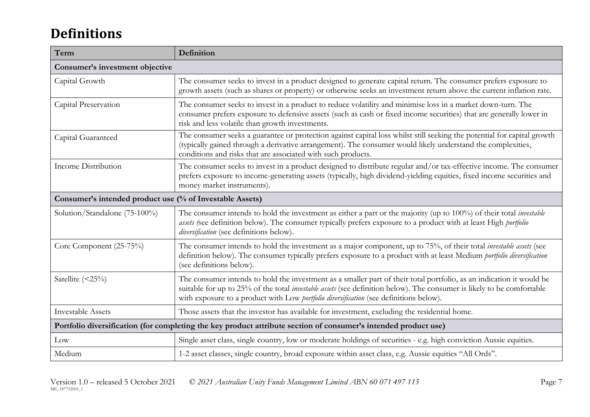## **Definitions**

| Term                                                     | Definition                                                                                                                                                                                                                                                                                                                                      |  |
|----------------------------------------------------------|-------------------------------------------------------------------------------------------------------------------------------------------------------------------------------------------------------------------------------------------------------------------------------------------------------------------------------------------------|--|
| Consumer's investment objective                          |                                                                                                                                                                                                                                                                                                                                                 |  |
| Capital Growth                                           | The consumer seeks to invest in a product designed to generate capital return. The consumer prefers exposure to<br>growth assets (such as shares or property) or otherwise seeks an investment return above the current inflation rate.                                                                                                         |  |
| Capital Preservation                                     | The consumer seeks to invest in a product to reduce volatility and minimise loss in a market down-turn. The<br>consumer prefers exposure to defensive assets (such as cash or fixed income securities) that are generally lower in<br>risk and less volatile than growth investments.                                                           |  |
| Capital Guaranteed                                       | The consumer seeks a guarantee or protection against capital loss whilst still seeking the potential for capital growth<br>(typically gained through a derivative arrangement). The consumer would likely understand the complexities,<br>conditions and risks that are associated with such products.                                          |  |
| Income Distribution                                      | The consumer seeks to invest in a product designed to distribute regular and/or tax-effective income. The consumer<br>prefers exposure to income-generating assets (typically, high dividend-yielding equities, fixed income securities and<br>money market instruments).                                                                       |  |
| Consumer's intended product use (% of Investable Assets) |                                                                                                                                                                                                                                                                                                                                                 |  |
| Solution/Standalone (75-100%)                            | The consumer intends to hold the investment as either a part or the majority (up to 100%) of their total <i>investable</i><br>assets (see definition below). The consumer typically prefers exposure to a product with at least High portfolio<br>diversification (see definitions below).                                                      |  |
| Core Component (25-75%)                                  | The consumer intends to hold the investment as a major component, up to 75%, of their total <i>investable assets</i> (see<br>definition below). The consumer typically prefers exposure to a product with at least Medium portfolio diversification<br>(see definitions below).                                                                 |  |
| Satellite (<25%)                                         | The consumer intends to hold the investment as a smaller part of their total portfolio, as an indication it would be<br>suitable for up to 25% of the total <i>investable assets</i> (see definition below). The consumer is likely to be comfortable<br>with exposure to a product with Low portfolio diversification (see definitions below). |  |
| <b>Investable Assets</b>                                 | Those assets that the investor has available for investment, excluding the residential home.                                                                                                                                                                                                                                                    |  |
|                                                          | Portfolio diversification (for completing the key product attribute section of consumer's intended product use)                                                                                                                                                                                                                                 |  |
| Low                                                      | Single asset class, single country, low or moderate holdings of securities - e.g. high conviction Aussie equities.                                                                                                                                                                                                                              |  |
| Medium                                                   | 1-2 asset classes, single country, broad exposure within asset class, e.g. Aussie equities "All Ords".                                                                                                                                                                                                                                          |  |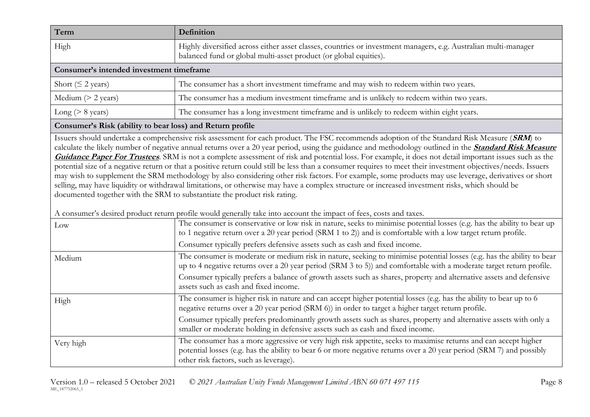| Term                                     | Definition                                                                                                                                                                           |  |
|------------------------------------------|--------------------------------------------------------------------------------------------------------------------------------------------------------------------------------------|--|
| High                                     | Highly diversified across either asset classes, countries or investment managers, e.g. Australian multi-manager<br>balanced fund or global multi-asset product (or global equities). |  |
| Consumer's intended investment timeframe |                                                                                                                                                                                      |  |
| Short ( $\leq$ 2 years)                  | The consumer has a short investment timeframe and may wish to redeem within two years.                                                                                               |  |
| Medium $(> 2$ years)                     | The consumer has a medium investment timeframe and is unlikely to redeem within two years.                                                                                           |  |
| Long ( $> 8$ years)                      | The consumer has a long investment timeframe and is unlikely to redeem within eight years.                                                                                           |  |

#### **Consumer's Risk (ability to bear loss) and Return profile**

Issuers should undertake a comprehensive risk assessment for each product. The FSC recommends adoption of the Standard Risk Measure (**SRM**) to calculate the likely number of negative annual returns over a 20 year period, using the guidance and methodology outlined in the **[Standard Risk Measure](https://protect-eu.mimecast.com/s/pqPaCwVNmtGRQpvMFVpVgu?domain=urldefense.com)  [Guidance Paper For Trustees](https://protect-eu.mimecast.com/s/pqPaCwVNmtGRQpvMFVpVgu?domain=urldefense.com)**. SRM is not a complete assessment of risk and potential loss. For example, it does not detail important issues such as the potential size of a negative return or that a positive return could still be less than a consumer requires to meet their investment objectives/needs. Issuers may wish to supplement the SRM methodology by also considering other risk factors. For example, some products may use leverage, derivatives or short selling, may have liquidity or withdrawal limitations, or otherwise may have a complex structure or increased investment risks, which should be documented together with the SRM to substantiate the product risk rating.

A consumer's desired product return profile would generally take into account the impact of fees, costs and taxes.

| Low       | The consumer is conservative or low risk in nature, seeks to minimise potential losses (e.g. has the ability to bear up<br>to 1 negative return over a 20 year period (SRM 1 to 2)) and is comfortable with a low target return profile.                                         |
|-----------|----------------------------------------------------------------------------------------------------------------------------------------------------------------------------------------------------------------------------------------------------------------------------------|
|           | Consumer typically prefers defensive assets such as cash and fixed income.                                                                                                                                                                                                       |
| Medium    | The consumer is moderate or medium risk in nature, seeking to minimise potential losses (e.g. has the ability to bear<br>up to 4 negative returns over a 20 year period (SRM 3 to 5)) and comfortable with a moderate target return profile.                                     |
|           | Consumer typically prefers a balance of growth assets such as shares, property and alternative assets and defensive<br>assets such as cash and fixed income.                                                                                                                     |
| High      | The consumer is higher risk in nature and can accept higher potential losses (e.g. has the ability to bear up to 6<br>negative returns over a 20 year period (SRM 6)) in order to target a higher target return profile.                                                         |
|           | Consumer typically prefers predominantly growth assets such as shares, property and alternative assets with only a<br>smaller or moderate holding in defensive assets such as cash and fixed income.                                                                             |
| Very high | The consumer has a more aggressive or very high risk appetite, seeks to maximise returns and can accept higher<br>potential losses (e.g. has the ability to bear 6 or more negative returns over a 20 year period (SRM 7) and possibly<br>other risk factors, such as leverage). |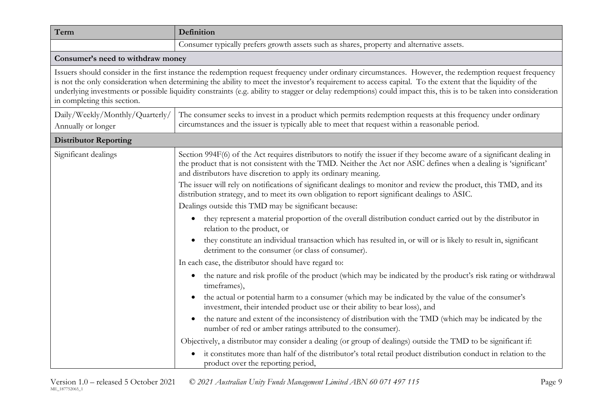| Term                                                  | Definition                                                                                                                                                                                                                                                                                                                                                                                                                                                                              |
|-------------------------------------------------------|-----------------------------------------------------------------------------------------------------------------------------------------------------------------------------------------------------------------------------------------------------------------------------------------------------------------------------------------------------------------------------------------------------------------------------------------------------------------------------------------|
|                                                       | Consumer typically prefers growth assets such as shares, property and alternative assets.                                                                                                                                                                                                                                                                                                                                                                                               |
| Consumer's need to withdraw money                     |                                                                                                                                                                                                                                                                                                                                                                                                                                                                                         |
| in completing this section.                           | Issuers should consider in the first instance the redemption request frequency under ordinary circumstances. However, the redemption request frequency<br>is not the only consideration when determining the ability to meet the investor's requirement to access capital. To the extent that the liquidity of the<br>underlying investments or possible liquidity constraints (e.g. ability to stagger or delay redemptions) could impact this, this is to be taken into consideration |
| Daily/Weekly/Monthly/Quarterly/<br>Annually or longer | The consumer seeks to invest in a product which permits redemption requests at this frequency under ordinary<br>circumstances and the issuer is typically able to meet that request within a reasonable period.                                                                                                                                                                                                                                                                         |
| <b>Distributor Reporting</b>                          |                                                                                                                                                                                                                                                                                                                                                                                                                                                                                         |
| Significant dealings                                  | Section 994F(6) of the Act requires distributors to notify the issuer if they become aware of a significant dealing in<br>the product that is not consistent with the TMD. Neither the Act nor ASIC defines when a dealing is 'significant'<br>and distributors have discretion to apply its ordinary meaning.                                                                                                                                                                          |
|                                                       | The issuer will rely on notifications of significant dealings to monitor and review the product, this TMD, and its<br>distribution strategy, and to meet its own obligation to report significant dealings to ASIC.                                                                                                                                                                                                                                                                     |
|                                                       | Dealings outside this TMD may be significant because:                                                                                                                                                                                                                                                                                                                                                                                                                                   |
|                                                       | they represent a material proportion of the overall distribution conduct carried out by the distributor in<br>$\bullet$<br>relation to the product, or                                                                                                                                                                                                                                                                                                                                  |
|                                                       | they constitute an individual transaction which has resulted in, or will or is likely to result in, significant<br>$\bullet$<br>detriment to the consumer (or class of consumer).                                                                                                                                                                                                                                                                                                       |
|                                                       | In each case, the distributor should have regard to:                                                                                                                                                                                                                                                                                                                                                                                                                                    |
|                                                       | the nature and risk profile of the product (which may be indicated by the product's risk rating or withdrawal<br>$\bullet$<br>timeframes),                                                                                                                                                                                                                                                                                                                                              |
|                                                       | the actual or potential harm to a consumer (which may be indicated by the value of the consumer's<br>investment, their intended product use or their ability to bear loss), and                                                                                                                                                                                                                                                                                                         |
|                                                       | the nature and extent of the inconsistency of distribution with the TMD (which may be indicated by the<br>$\bullet$<br>number of red or amber ratings attributed to the consumer).                                                                                                                                                                                                                                                                                                      |
|                                                       | Objectively, a distributor may consider a dealing (or group of dealings) outside the TMD to be significant if:                                                                                                                                                                                                                                                                                                                                                                          |
|                                                       | it constitutes more than half of the distributor's total retail product distribution conduct in relation to the<br>product over the reporting period,                                                                                                                                                                                                                                                                                                                                   |